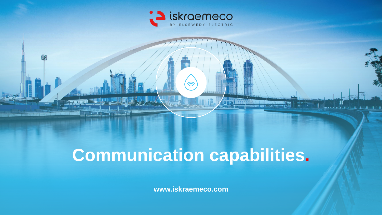

幽

# **Communication capabilities.**

**Monday 1 1 1 1 1 1 1 1** 

**www.iskraemeco.com**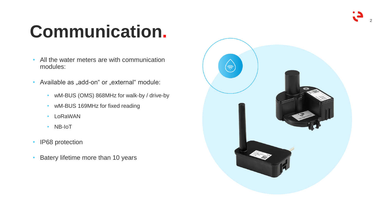

# **Communication .**

- All the water meters are with communication modules:
- Available as "add-on" or "external" module:
	- wM-BUS (OMS) 868MHz for walk-by / drive-by
	- wM -BUS 169MHz for fixed reading
	- LoRaWAN
	- NB-IoT
- IP68 protection
- Batery lifetime more than 10 years

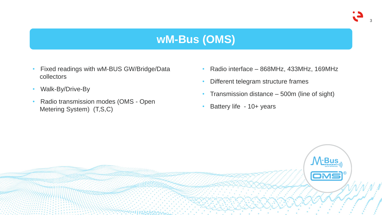

### **wM-Bus (OMS)**

- Fixed readings with wM-BUS GW/Bridge/Data collectors
- Walk-By/Drive-By
- Radio transmission modes (OMS Open Metering System) (T,S,C)
- Radio interface 868MHz, 433MHz, 169MHz
- Different telegram structure frames
- Transmission distance 500m (line of sight)
- Battery life 10+ years

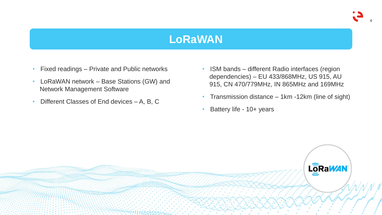

#### **LoRaWAN**

- Fixed readings Private and Public networks
- LoRaWAN network Base Stations (GW) and Network Management Software
- Different Classes of End devices A, B, C
- ISM bands different Radio interfaces (region dependencies) – EU 433/868MHz, US 915, AU 915, CN 470/779MHz, IN 865MHz and 169MHz
- Transmission distance 1km -12km (line of sight)
- Battery life 10+ years

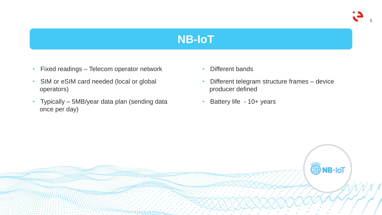

#### **NB-IoT**

- Fixed readings Telecom operator network
- SIM or eSIM card needed (local or global operators)
- Typically 5MB/year data plan (sending data once per day)
- Different bands
- Different telegram structure frames device producer defined
- Battery life 10+ years